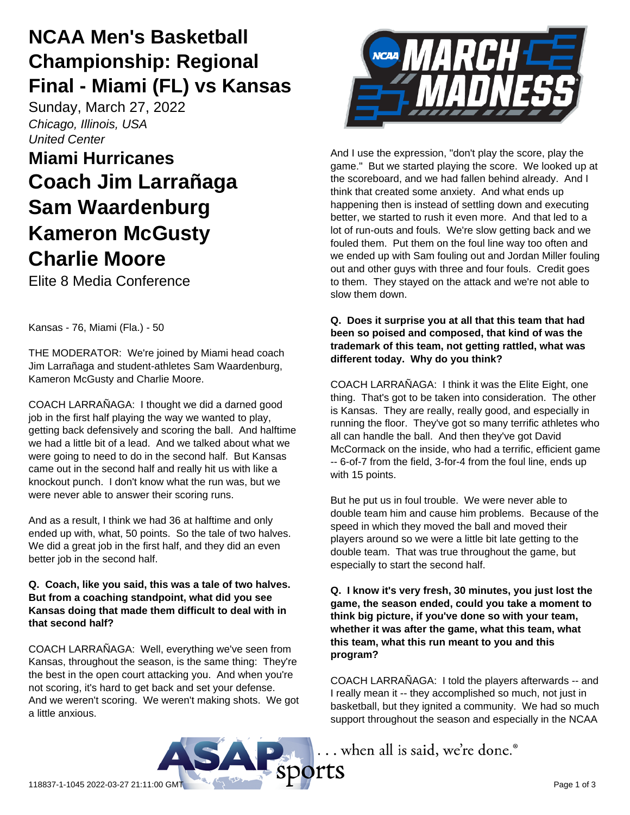# **NCAA Men's Basketball Championship: Regional Final - Miami (FL) vs Kansas**

Sunday, March 27, 2022 *Chicago, Illinois, USA United Center*

# **Miami Hurricanes Coach Jim Larrañaga Sam Waardenburg Kameron McGusty Charlie Moore**

Elite 8 Media Conference

Kansas - 76, Miami (Fla.) - 50

THE MODERATOR: We're joined by Miami head coach Jim Larrañaga and student-athletes Sam Waardenburg, Kameron McGusty and Charlie Moore.

COACH LARRAÑAGA: I thought we did a darned good job in the first half playing the way we wanted to play, getting back defensively and scoring the ball. And halftime we had a little bit of a lead. And we talked about what we were going to need to do in the second half. But Kansas came out in the second half and really hit us with like a knockout punch. I don't know what the run was, but we were never able to answer their scoring runs.

And as a result, I think we had 36 at halftime and only ended up with, what, 50 points. So the tale of two halves. We did a great job in the first half, and they did an even better job in the second half.

### **Q. Coach, like you said, this was a tale of two halves. But from a coaching standpoint, what did you see Kansas doing that made them difficult to deal with in that second half?**

COACH LARRAÑAGA: Well, everything we've seen from Kansas, throughout the season, is the same thing: They're the best in the open court attacking you. And when you're not scoring, it's hard to get back and set your defense. And we weren't scoring. We weren't making shots. We got a little anxious.



And I use the expression, "don't play the score, play the game." But we started playing the score. We looked up at the scoreboard, and we had fallen behind already. And I think that created some anxiety. And what ends up happening then is instead of settling down and executing better, we started to rush it even more. And that led to a lot of run-outs and fouls. We're slow getting back and we fouled them. Put them on the foul line way too often and we ended up with Sam fouling out and Jordan Miller fouling out and other guys with three and four fouls. Credit goes to them. They stayed on the attack and we're not able to slow them down.

### **Q. Does it surprise you at all that this team that had been so poised and composed, that kind of was the trademark of this team, not getting rattled, what was different today. Why do you think?**

COACH LARRAÑAGA: I think it was the Elite Eight, one thing. That's got to be taken into consideration. The other is Kansas. They are really, really good, and especially in running the floor. They've got so many terrific athletes who all can handle the ball. And then they've got David McCormack on the inside, who had a terrific, efficient game -- 6-of-7 from the field, 3-for-4 from the foul line, ends up with 15 points.

But he put us in foul trouble. We were never able to double team him and cause him problems. Because of the speed in which they moved the ball and moved their players around so we were a little bit late getting to the double team. That was true throughout the game, but especially to start the second half.

**Q. I know it's very fresh, 30 minutes, you just lost the game, the season ended, could you take a moment to think big picture, if you've done so with your team, whether it was after the game, what this team, what this team, what this run meant to you and this program?**

COACH LARRAÑAGA: I told the players afterwards -- and I really mean it -- they accomplished so much, not just in basketball, but they ignited a community. We had so much support throughout the season and especially in the NCAA

... when all is said, we're done.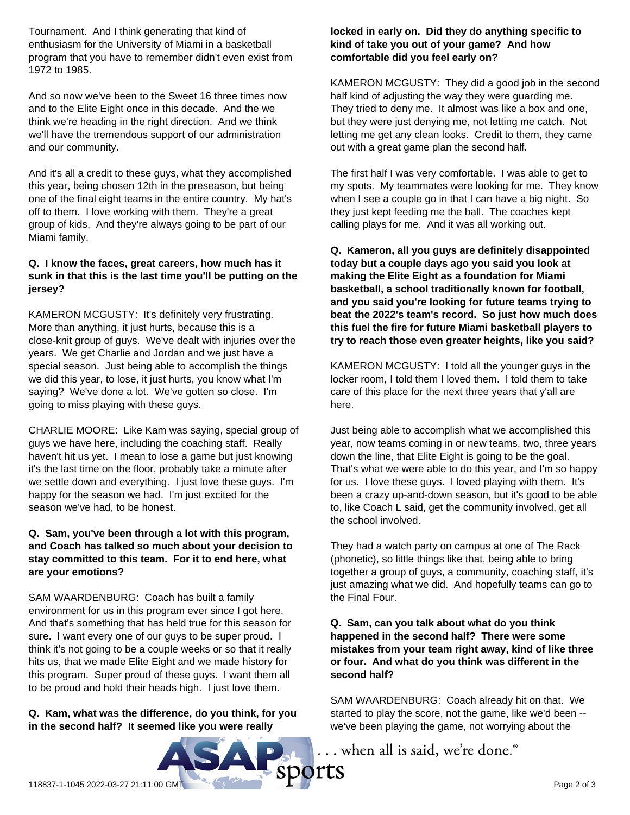Tournament. And I think generating that kind of enthusiasm for the University of Miami in a basketball program that you have to remember didn't even exist from 1972 to 1985.

And so now we've been to the Sweet 16 three times now and to the Elite Eight once in this decade. And the we think we're heading in the right direction. And we think we'll have the tremendous support of our administration and our community.

And it's all a credit to these guys, what they accomplished this year, being chosen 12th in the preseason, but being one of the final eight teams in the entire country. My hat's off to them. I love working with them. They're a great group of kids. And they're always going to be part of our Miami family.

# **Q. I know the faces, great careers, how much has it sunk in that this is the last time you'll be putting on the jersey?**

KAMERON MCGUSTY: It's definitely very frustrating. More than anything, it just hurts, because this is a close-knit group of guys. We've dealt with injuries over the years. We get Charlie and Jordan and we just have a special season. Just being able to accomplish the things we did this year, to lose, it just hurts, you know what I'm saying? We've done a lot. We've gotten so close. I'm going to miss playing with these guys.

CHARLIE MOORE: Like Kam was saying, special group of guys we have here, including the coaching staff. Really haven't hit us yet. I mean to lose a game but just knowing it's the last time on the floor, probably take a minute after we settle down and everything. I just love these guys. I'm happy for the season we had. I'm just excited for the season we've had, to be honest.

### **Q. Sam, you've been through a lot with this program, and Coach has talked so much about your decision to stay committed to this team. For it to end here, what are your emotions?**

SAM WAARDENBURG: Coach has built a family environment for us in this program ever since I got here. And that's something that has held true for this season for sure. I want every one of our guys to be super proud. I think it's not going to be a couple weeks or so that it really hits us, that we made Elite Eight and we made history for this program. Super proud of these guys. I want them all to be proud and hold their heads high. I just love them.

# **Q. Kam, what was the difference, do you think, for you in the second half? It seemed like you were really**

# **locked in early on. Did they do anything specific to kind of take you out of your game? And how comfortable did you feel early on?**

KAMERON MCGUSTY: They did a good job in the second half kind of adjusting the way they were guarding me. They tried to deny me. It almost was like a box and one, but they were just denying me, not letting me catch. Not letting me get any clean looks. Credit to them, they came out with a great game plan the second half.

The first half I was very comfortable. I was able to get to my spots. My teammates were looking for me. They know when I see a couple go in that I can have a big night. So they just kept feeding me the ball. The coaches kept calling plays for me. And it was all working out.

**Q. Kameron, all you guys are definitely disappointed today but a couple days ago you said you look at making the Elite Eight as a foundation for Miami basketball, a school traditionally known for football, and you said you're looking for future teams trying to beat the 2022's team's record. So just how much does this fuel the fire for future Miami basketball players to try to reach those even greater heights, like you said?**

KAMERON MCGUSTY: I told all the younger guys in the locker room, I told them I loved them. I told them to take care of this place for the next three years that y'all are here.

Just being able to accomplish what we accomplished this year, now teams coming in or new teams, two, three years down the line, that Elite Eight is going to be the goal. That's what we were able to do this year, and I'm so happy for us. I love these guys. I loved playing with them. It's been a crazy up-and-down season, but it's good to be able to, like Coach L said, get the community involved, get all the school involved.

They had a watch party on campus at one of The Rack (phonetic), so little things like that, being able to bring together a group of guys, a community, coaching staff, it's just amazing what we did. And hopefully teams can go to the Final Four.

**Q. Sam, can you talk about what do you think happened in the second half? There were some mistakes from your team right away, kind of like three or four. And what do you think was different in the second half?**

SAM WAARDENBURG: Coach already hit on that. We started to play the score, not the game, like we'd been - we've been playing the game, not worrying about the

... when all is said, we're done.®